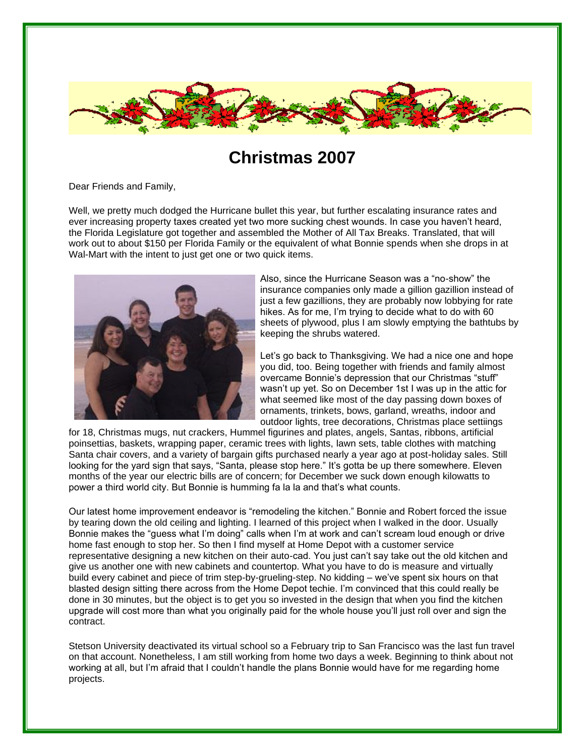

## **Christmas 2007**

Dear Friends and Family,

Well, we pretty much dodged the Hurricane bullet this year, but further escalating insurance rates and ever increasing property taxes created yet two more sucking chest wounds. In case you haven't heard, the Florida Legislature got together and assembled the Mother of All Tax Breaks. Translated, that will work out to about \$150 per Florida Family or the equivalent of what Bonnie spends when she drops in at Wal-Mart with the intent to just get one or two quick items.



 Also, since the Hurricane Season was a "no-show" the insurance companies only made a gillion gazillion instead of just a few gazillions, they are probably now lobbying for rate hikes. As for me, I'm trying to decide what to do with 60 sheets of plywood, plus I am slowly emptying the bathtubs by keeping the shrubs watered.

 Let's go back to Thanksgiving. We had a nice one and hope you did, too. Being together with friends and family almost overcame Bonnie's depression that our Christmas "stuff" wasn't up yet. So on December 1st I was up in the attic for what seemed like most of the day passing down boxes of ornaments, trinkets, bows, garland, wreaths, indoor and outdoor lights, tree decorations, Christmas place settiings

for 18, Christmas mugs, nut crackers, Hummel figurines and plates, angels, Santas, ribbons, artificial poinsettias, baskets, wrapping paper, ceramic trees with lights, lawn sets, table clothes with matching Santa chair covers, and a variety of bargain gifts purchased nearly a year ago at post-holiday sales. Still looking for the yard sign that says, "Santa, please stop here." It's gotta be up there somewhere. Eleven months of the year our electric bills are of concern; for December we suck down enough kilowatts to power a third world city. But Bonnie is humming fa la la and that's what counts.

Our latest home improvement endeavor is "remodeling the kitchen." Bonnie and Robert forced the issue by tearing down the old ceiling and lighting. I learned of this project when I walked in the door. Usually Bonnie makes the "guess what I'm doing" calls when I'm at work and can't scream loud enough or drive home fast enough to stop her. So then I find myself at Home Depot with a customer service representative designing a new kitchen on their auto-cad. You just can't say take out the old kitchen and give us another one with new cabinets and countertop. What you have to do is measure and virtually build every cabinet and piece of trim step-by-grueling-step. No kidding – we've spent six hours on that blasted design sitting there across from the Home Depot techie. I'm convinced that this could really be done in 30 minutes, but the object is to get you so invested in the design that when you find the kitchen upgrade will cost more than what you originally paid for the whole house you'll just roll over and sign the contract.

Stetson University deactivated its virtual school so a February trip to San Francisco was the last fun travel on that account. Nonetheless, I am still working from home two days a week. Beginning to think about not working at all, but I'm afraid that I couldn't handle the plans Bonnie would have for me regarding home projects.